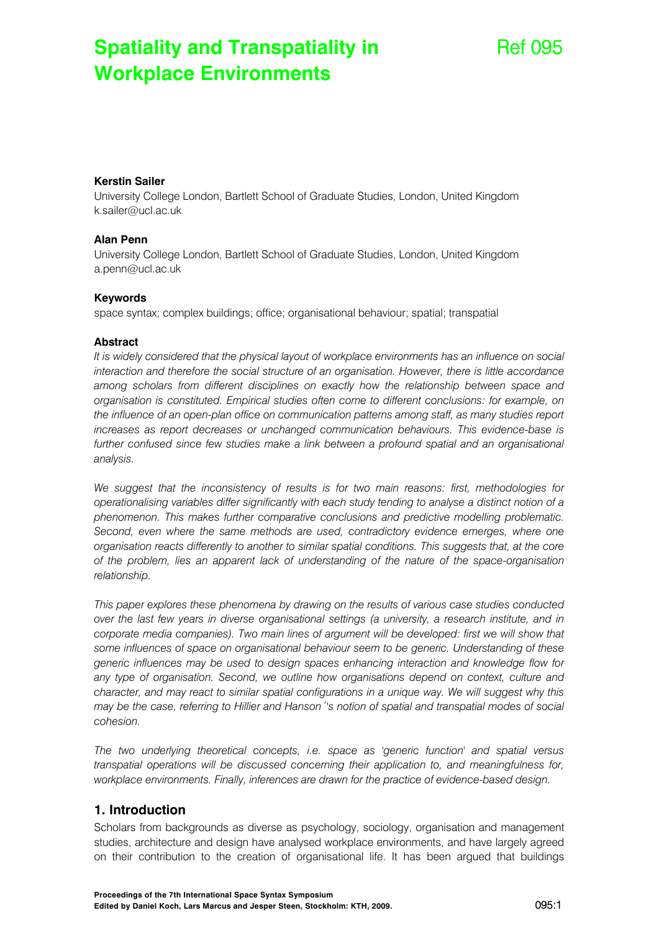# **Spatiality and Transpatiality in Workplace Environments**

# Ref 095

#### **Kerstin Sailer**

University College London, Bartlett School of Graduate Studies, London, United Kingdom k.sailer@ucl.ac.uk

#### **Alan Penn**

University College London, Bartlett School of Graduate Studies, London, United Kingdom a.penn@ucl.ac.uk

#### **Keywords**

space syntax; complex buildings; office; organisational behaviour; spatial; transpatial

#### **Abstract**

*It is widely considered that the physical layout of workplace environments has an influence on social interaction and therefore the social structure of an organisation. However, there is little accordance among scholars from different disciplines on exactly how the relationship between space and organisation is constituted. Empirical studies often come to different conclusions: for example, on the influence of an open-plan office on communication patterns among staff, as many studies report increases as report decreases or unchanged communication behaviours. This evidence-base is*  further confused since few studies make a link between a profound spatial and an organisational *analysis.* 

*We suggest that the inconsistency of results is for two main reasons: first, methodologies for operationalising variables differ significantly with each study tending to analyse a distinct notion of a phenomenon. This makes further comparative conclusions and predictive modelling problematic.*  Second, even where the same methods are used, contradictory evidence emerges, where one *organisation reacts differently to another to similar spatial conditions. This suggests that, at the core of the problem, lies an apparent lack of understanding of the nature of the space-organisation relationship.* 

*This paper explores these phenomena by drawing on the results of various case studies conducted over the last few years in diverse organisational settings (a university, a research institute, and in corporate media companies). Two main lines of argument will be developed: first we will show that some influences of space on organisational behaviour seem to be generic. Understanding of these generic influences may be used to design spaces enhancing interaction and knowledge flow for any type of organisation. Second, we outline how organisations depend on context, culture and character, and may react to similar spatial configurations in a unique way. We will suggest why this may be the case, referring to Hillier and Hanson´'s notion of spatial and transpatial modes of social cohesion.* 

*The two underlying theoretical concepts, i.e. space as 'generic function' and spatial versus transpatial operations will be discussed concerning their application to, and meaningfulness for, workplace environments. Finally, inferences are drawn for the practice of evidence-based design.* 

### **1. Introduction**

Scholars from backgrounds as diverse as psychology, sociology, organisation and management studies, architecture and design have analysed workplace environments, and have largely agreed on their contribution to the creation of organisational life. It has been argued that buildings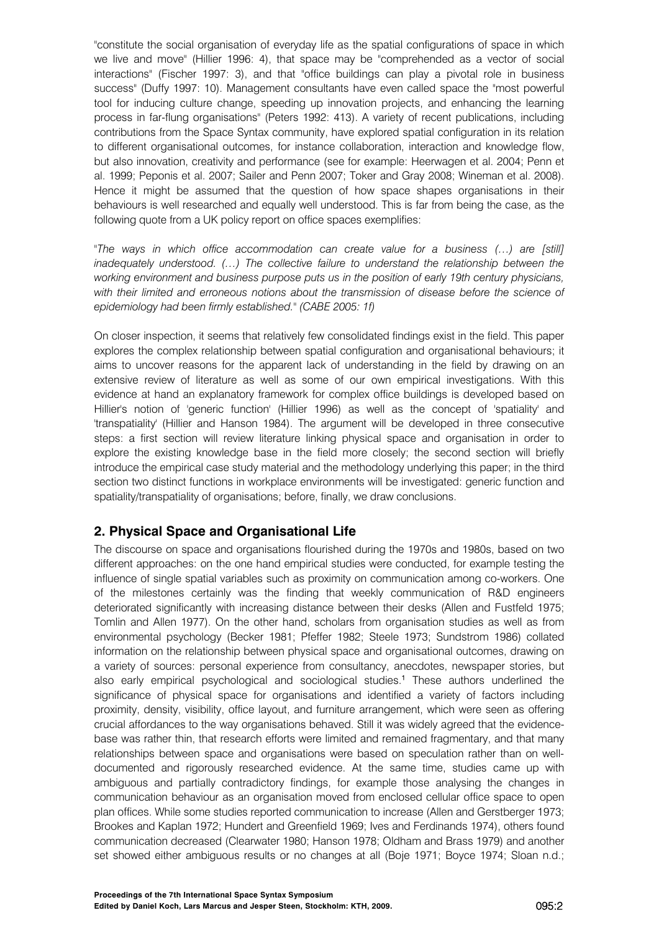"constitute the social organisation of everyday life as the spatial configurations of space in which we live and move" (Hillier 1996: 4), that space may be "comprehended as a vector of social interactions" (Fischer 1997: 3), and that "office buildings can play a pivotal role in business success" (Duffy 1997: 10). Management consultants have even called space the "most powerful tool for inducing culture change, speeding up innovation projects, and enhancing the learning process in far-flung organisations" (Peters 1992: 413). A variety of recent publications, including contributions from the Space Syntax community, have explored spatial configuration in its relation to different organisational outcomes, for instance collaboration, interaction and knowledge flow, but also innovation, creativity and performance (see for example: Heerwagen et al. 2004; Penn et al. 1999; Peponis et al. 2007; Sailer and Penn 2007; Toker and Gray 2008; Wineman et al. 2008). Hence it might be assumed that the question of how space shapes organisations in their behaviours is well researched and equally well understood. This is far from being the case, as the following quote from a UK policy report on office spaces exemplifies:

*"The ways in which office accommodation can create value for a business (…) are [still] inadequately understood. (…) The collective failure to understand the relationship between the working environment and business purpose puts us in the position of early 19th century physicians,*  with their limited and erroneous notions about the transmission of disease before the science of *epidemiology had been firmly established." (CABE 2005: 1f)* 

On closer inspection, it seems that relatively few consolidated findings exist in the field. This paper explores the complex relationship between spatial configuration and organisational behaviours; it aims to uncover reasons for the apparent lack of understanding in the field by drawing on an extensive review of literature as well as some of our own empirical investigations. With this evidence at hand an explanatory framework for complex office buildings is developed based on Hillier's notion of 'generic function' (Hillier 1996) as well as the concept of 'spatiality' and 'transpatiality' (Hillier and Hanson 1984). The argument will be developed in three consecutive steps: a first section will review literature linking physical space and organisation in order to explore the existing knowledge base in the field more closely; the second section will briefly introduce the empirical case study material and the methodology underlying this paper; in the third section two distinct functions in workplace environments will be investigated: generic function and spatiality/transpatiality of organisations; before, finally, we draw conclusions.

# **2. Physical Space and Organisational Life**

The discourse on space and organisations flourished during the 1970s and 1980s, based on two different approaches: on the one hand empirical studies were conducted, for example testing the influence of single spatial variables such as proximity on communication among co-workers. One of the milestones certainly was the finding that weekly communication of R&D engineers deteriorated significantly with increasing distance between their desks (Allen and Fustfeld 1975; Tomlin and Allen 1977). On the other hand, scholars from organisation studies as well as from environmental psychology (Becker 1981; Pfeffer 1982; Steele 1973; Sundstrom 1986) collated information on the relationship between physical space and organisational outcomes, drawing on a variety of sources: personal experience from consultancy, anecdotes, newspaper stories, but also early empirical psychological and sociological studies.<sup>1</sup> These authors underlined the significance of physical space for organisations and identified a variety of factors including proximity, density, visibility, office layout, and furniture arrangement, which were seen as offering crucial affordances to the way organisations behaved. Still it was widely agreed that the evidencebase was rather thin, that research efforts were limited and remained fragmentary, and that many relationships between space and organisations were based on speculation rather than on welldocumented and rigorously researched evidence. At the same time, studies came up with ambiguous and partially contradictory findings, for example those analysing the changes in communication behaviour as an organisation moved from enclosed cellular office space to open plan offices. While some studies reported communication to increase (Allen and Gerstberger 1973; Brookes and Kaplan 1972; Hundert and Greenfield 1969; Ives and Ferdinands 1974), others found communication decreased (Clearwater 1980; Hanson 1978; Oldham and Brass 1979) and another set showed either ambiguous results or no changes at all (Boje 1971; Boyce 1974; Sloan n.d.;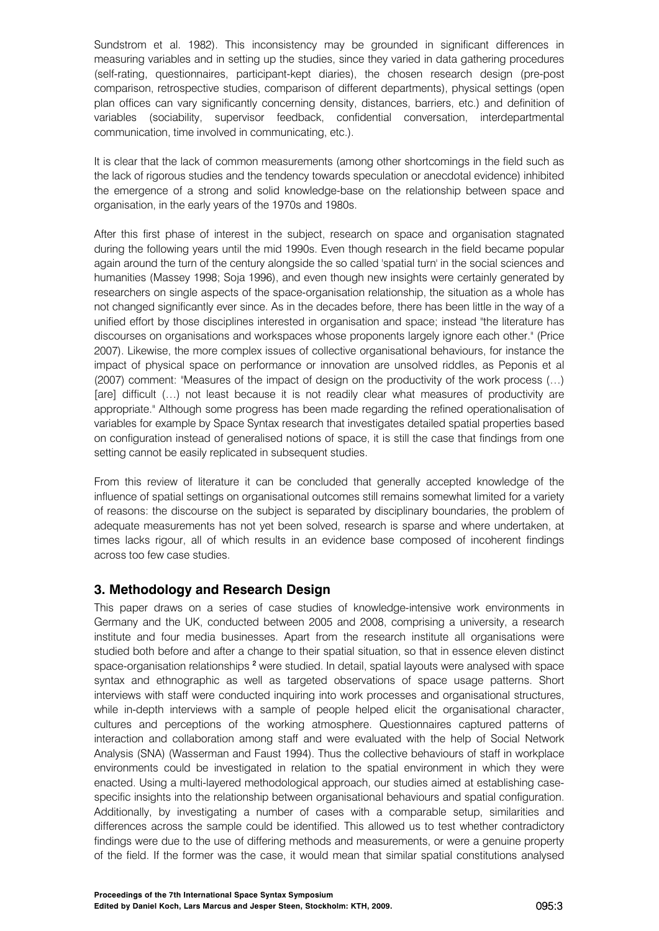Sundstrom et al. 1982). This inconsistency may be grounded in significant differences in measuring variables and in setting up the studies, since they varied in data gathering procedures (self-rating, questionnaires, participant-kept diaries), the chosen research design (pre-post comparison, retrospective studies, comparison of different departments), physical settings (open plan offices can vary significantly concerning density, distances, barriers, etc.) and definition of variables (sociability, supervisor feedback, confidential conversation, interdepartmental communication, time involved in communicating, etc.).

It is clear that the lack of common measurements (among other shortcomings in the field such as the lack of rigorous studies and the tendency towards speculation or anecdotal evidence) inhibited the emergence of a strong and solid knowledge-base on the relationship between space and organisation, in the early years of the 1970s and 1980s.

After this first phase of interest in the subject, research on space and organisation stagnated during the following years until the mid 1990s. Even though research in the field became popular again around the turn of the century alongside the so called 'spatial turn' in the social sciences and humanities (Massey 1998; Soja 1996), and even though new insights were certainly generated by researchers on single aspects of the space-organisation relationship, the situation as a whole has not changed significantly ever since. As in the decades before, there has been little in the way of a unified effort by those disciplines interested in organisation and space; instead "the literature has discourses on organisations and workspaces whose proponents largely ignore each other." (Price 2007). Likewise, the more complex issues of collective organisational behaviours, for instance the impact of physical space on performance or innovation are unsolved riddles, as Peponis et al (2007) comment: "Measures of the impact of design on the productivity of the work process (…) [are] difficult (…) not least because it is not readily clear what measures of productivity are appropriate." Although some progress has been made regarding the refined operationalisation of variables for example by Space Syntax research that investigates detailed spatial properties based on configuration instead of generalised notions of space, it is still the case that findings from one setting cannot be easily replicated in subsequent studies.

From this review of literature it can be concluded that generally accepted knowledge of the influence of spatial settings on organisational outcomes still remains somewhat limited for a variety of reasons: the discourse on the subject is separated by disciplinary boundaries, the problem of adequate measurements has not yet been solved, research is sparse and where undertaken, at times lacks rigour, all of which results in an evidence base composed of incoherent findings across too few case studies.

## **3. Methodology and Research Design**

This paper draws on a series of case studies of knowledge-intensive work environments in Germany and the UK, conducted between 2005 and 2008, comprising a university, a research institute and four media businesses. Apart from the research institute all organisations were studied both before and after a change to their spatial situation, so that in essence eleven distinct space-organisation relationships <sup>2</sup> were studied. In detail, spatial layouts were analysed with space syntax and ethnographic as well as targeted observations of space usage patterns. Short interviews with staff were conducted inquiring into work processes and organisational structures, while in-depth interviews with a sample of people helped elicit the organisational character, cultures and perceptions of the working atmosphere. Questionnaires captured patterns of interaction and collaboration among staff and were evaluated with the help of Social Network Analysis (SNA) (Wasserman and Faust 1994). Thus the collective behaviours of staff in workplace environments could be investigated in relation to the spatial environment in which they were enacted. Using a multi-layered methodological approach, our studies aimed at establishing casespecific insights into the relationship between organisational behaviours and spatial configuration. Additionally, by investigating a number of cases with a comparable setup, similarities and differences across the sample could be identified. This allowed us to test whether contradictory findings were due to the use of differing methods and measurements, or were a genuine property of the field. If the former was the case, it would mean that similar spatial constitutions analysed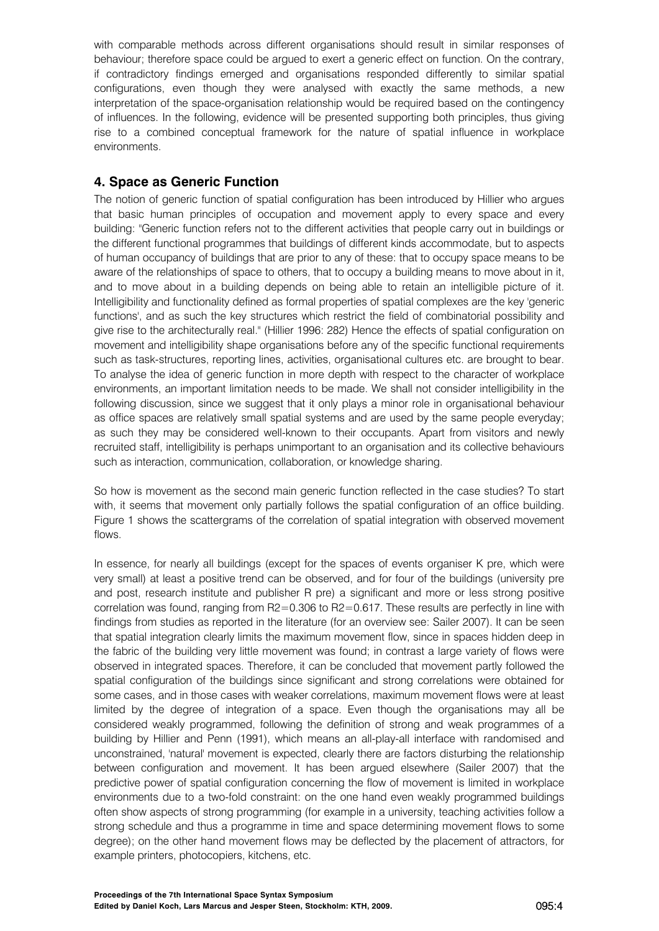with comparable methods across different organisations should result in similar responses of behaviour; therefore space could be argued to exert a generic effect on function. On the contrary, if contradictory findings emerged and organisations responded differently to similar spatial configurations, even though they were analysed with exactly the same methods, a new interpretation of the space-organisation relationship would be required based on the contingency of influences. In the following, evidence will be presented supporting both principles, thus giving rise to a combined conceptual framework for the nature of spatial influence in workplace environments.

# **4. Space as Generic Function**

The notion of generic function of spatial configuration has been introduced by Hillier who argues that basic human principles of occupation and movement apply to every space and every building: "Generic function refers not to the different activities that people carry out in buildings or the different functional programmes that buildings of different kinds accommodate, but to aspects of human occupancy of buildings that are prior to any of these: that to occupy space means to be aware of the relationships of space to others, that to occupy a building means to move about in it, and to move about in a building depends on being able to retain an intelligible picture of it. Intelligibility and functionality defined as formal properties of spatial complexes are the key 'generic functions', and as such the key structures which restrict the field of combinatorial possibility and give rise to the architecturally real." (Hillier 1996: 282) Hence the effects of spatial configuration on movement and intelligibility shape organisations before any of the specific functional requirements such as task-structures, reporting lines, activities, organisational cultures etc. are brought to bear. To analyse the idea of generic function in more depth with respect to the character of workplace environments, an important limitation needs to be made. We shall not consider intelligibility in the following discussion, since we suggest that it only plays a minor role in organisational behaviour as office spaces are relatively small spatial systems and are used by the same people everyday; as such they may be considered well-known to their occupants. Apart from visitors and newly recruited staff, intelligibility is perhaps unimportant to an organisation and its collective behaviours such as interaction, communication, collaboration, or knowledge sharing.

So how is movement as the second main generic function reflected in the case studies? To start with, it seems that movement only partially follows the spatial configuration of an office building. Figure 1 shows the scattergrams of the correlation of spatial integration with observed movement flows.

In essence, for nearly all buildings (except for the spaces of events organiser K pre, which were very small) at least a positive trend can be observed, and for four of the buildings (university pre and post, research institute and publisher R pre) a significant and more or less strong positive correlation was found, ranging from R2=0.306 to R2=0.617. These results are perfectly in line with findings from studies as reported in the literature (for an overview see: Sailer 2007). It can be seen that spatial integration clearly limits the maximum movement flow, since in spaces hidden deep in the fabric of the building very little movement was found; in contrast a large variety of flows were observed in integrated spaces. Therefore, it can be concluded that movement partly followed the spatial configuration of the buildings since significant and strong correlations were obtained for some cases, and in those cases with weaker correlations, maximum movement flows were at least limited by the degree of integration of a space. Even though the organisations may all be considered weakly programmed, following the definition of strong and weak programmes of a building by Hillier and Penn (1991), which means an all-play-all interface with randomised and unconstrained, 'natural' movement is expected, clearly there are factors disturbing the relationship between configuration and movement. It has been argued elsewhere (Sailer 2007) that the predictive power of spatial configuration concerning the flow of movement is limited in workplace environments due to a two-fold constraint: on the one hand even weakly programmed buildings often show aspects of strong programming (for example in a university, teaching activities follow a strong schedule and thus a programme in time and space determining movement flows to some degree); on the other hand movement flows may be deflected by the placement of attractors, for example printers, photocopiers, kitchens, etc.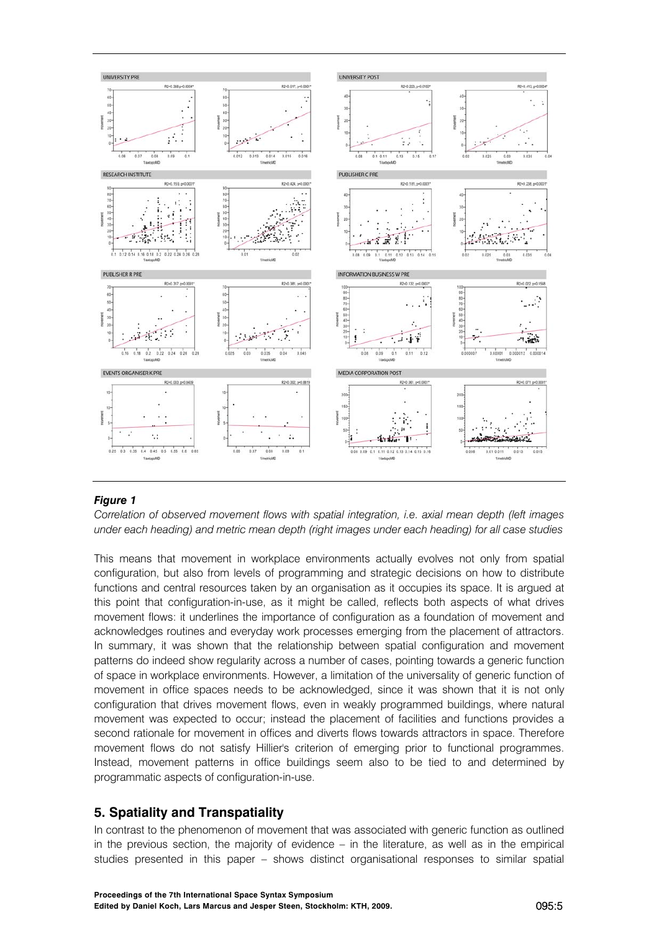

## *Figure 1*

*Correlation of observed movement flows with spatial integration, i.e. axial mean depth (left images under each heading) and metric mean depth (right images under each heading) for all case studies* 

This means that movement in workplace environments actually evolves not only from spatial configuration, but also from levels of programming and strategic decisions on how to distribute functions and central resources taken by an organisation as it occupies its space. It is argued at this point that configuration-in-use, as it might be called, reflects both aspects of what drives movement flows: it underlines the importance of configuration as a foundation of movement and acknowledges routines and everyday work processes emerging from the placement of attractors. In summary, it was shown that the relationship between spatial configuration and movement patterns do indeed show regularity across a number of cases, pointing towards a generic function of space in workplace environments. However, a limitation of the universality of generic function of movement in office spaces needs to be acknowledged, since it was shown that it is not only configuration that drives movement flows, even in weakly programmed buildings, where natural movement was expected to occur; instead the placement of facilities and functions provides a second rationale for movement in offices and diverts flows towards attractors in space. Therefore movement flows do not satisfy Hillier's criterion of emerging prior to functional programmes. Instead, movement patterns in office buildings seem also to be tied to and determined by programmatic aspects of configuration-in-use.

## **5. Spatiality and Transpatiality**

In contrast to the phenomenon of movement that was associated with generic function as outlined in the previous section, the majority of evidence – in the literature, as well as in the empirical studies presented in this paper – shows distinct organisational responses to similar spatial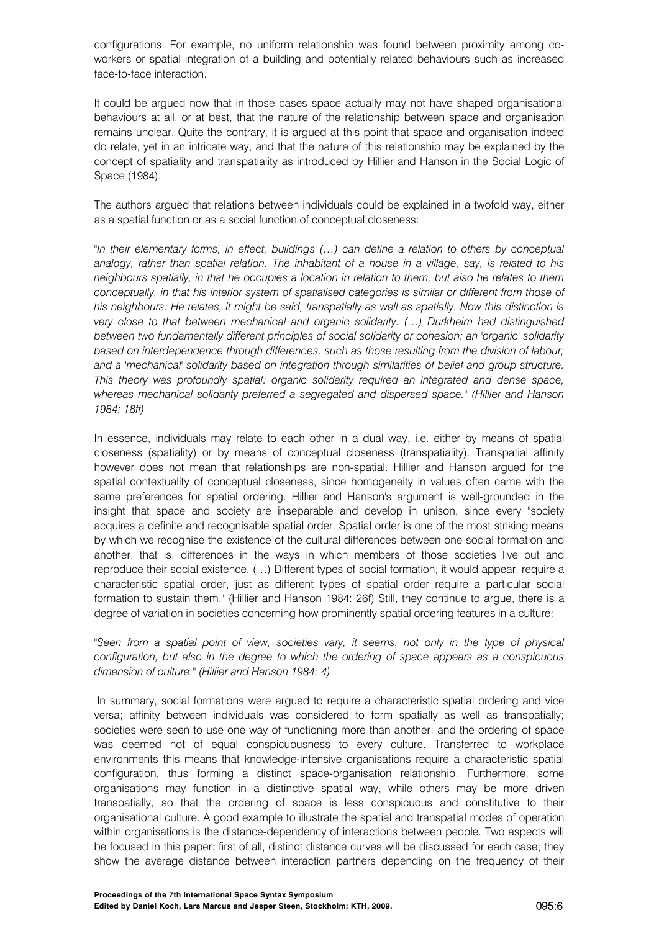configurations. For example, no uniform relationship was found between proximity among coworkers or spatial integration of a building and potentially related behaviours such as increased face-to-face interaction.

It could be argued now that in those cases space actually may not have shaped organisational behaviours at all, or at best, that the nature of the relationship between space and organisation remains unclear. Quite the contrary, it is argued at this point that space and organisation indeed do relate, yet in an intricate way, and that the nature of this relationship may be explained by the concept of spatiality and transpatiality as introduced by Hillier and Hanson in the Social Logic of Space (1984).

The authors argued that relations between individuals could be explained in a twofold way, either as a spatial function or as a social function of conceptual closeness:

*"In their elementary forms, in effect, buildings (…) can define a relation to others by conceptual analogy, rather than spatial relation. The inhabitant of a house in a village, say, is related to his neighbours spatially, in that he occupies a location in relation to them, but also he relates to them conceptually, in that his interior system of spatialised categories is similar or different from those of his neighbours. He relates, it might be said, transpatially as well as spatially. Now this distinction is very close to that between mechanical and organic solidarity. (…) Durkheim had distinguished between two fundamentally different principles of social solidarity or cohesion: an 'organic' solidarity based on interdependence through differences, such as those resulting from the division of labour; and a 'mechanical' solidarity based on integration through similarities of belief and group structure. This theory was profoundly spatial: organic solidarity required an integrated and dense space, whereas mechanical solidarity preferred a segregated and dispersed space." (Hillier and Hanson 1984: 18ff)* 

In essence, individuals may relate to each other in a dual way, i.e. either by means of spatial closeness (spatiality) or by means of conceptual closeness (transpatiality). Transpatial affinity however does not mean that relationships are non-spatial. Hillier and Hanson argued for the spatial contextuality of conceptual closeness, since homogeneity in values often came with the same preferences for spatial ordering. Hillier and Hanson's argument is well-grounded in the insight that space and society are inseparable and develop in unison, since every "society acquires a definite and recognisable spatial order. Spatial order is one of the most striking means by which we recognise the existence of the cultural differences between one social formation and another, that is, differences in the ways in which members of those societies live out and reproduce their social existence. (…) Different types of social formation, it would appear, require a characteristic spatial order, just as different types of spatial order require a particular social formation to sustain them." (Hillier and Hanson 1984: 26f) Still, they continue to argue, there is a degree of variation in societies concerning how prominently spatial ordering features in a culture:

"Seen from a spatial point of view, societies vary, it seems, not only in the type of physical *configuration, but also in the degree to which the ordering of space appears as a conspicuous dimension of culture." (Hillier and Hanson 1984: 4)* 

 In summary, social formations were argued to require a characteristic spatial ordering and vice versa; affinity between individuals was considered to form spatially as well as transpatially; societies were seen to use one way of functioning more than another; and the ordering of space was deemed not of equal conspicuousness to every culture. Transferred to workplace environments this means that knowledge-intensive organisations require a characteristic spatial configuration, thus forming a distinct space-organisation relationship. Furthermore, some organisations may function in a distinctive spatial way, while others may be more driven transpatially, so that the ordering of space is less conspicuous and constitutive to their organisational culture. A good example to illustrate the spatial and transpatial modes of operation within organisations is the distance-dependency of interactions between people. Two aspects will be focused in this paper: first of all, distinct distance curves will be discussed for each case; they show the average distance between interaction partners depending on the frequency of their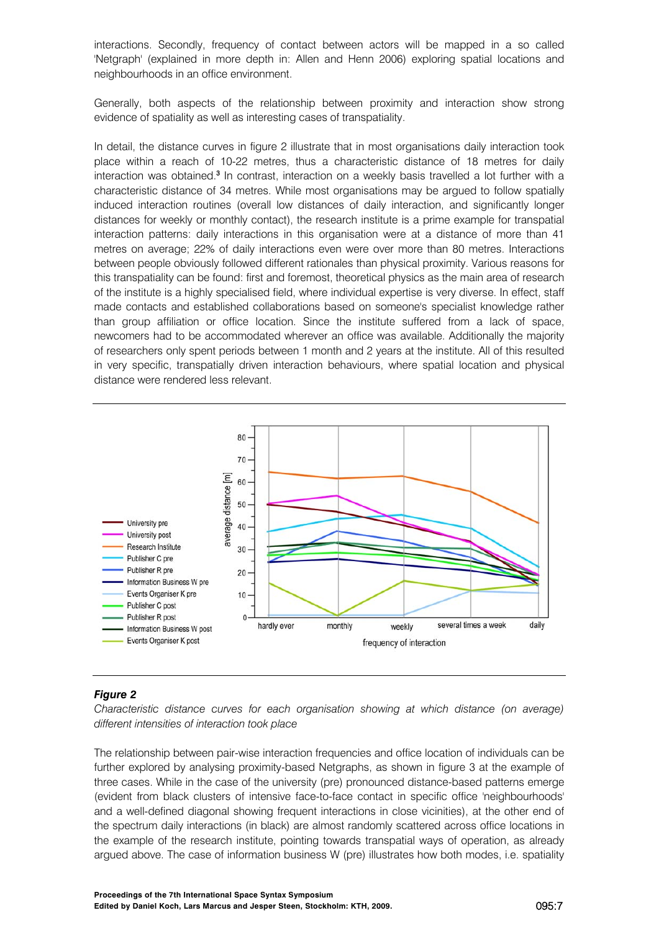interactions. Secondly, frequency of contact between actors will be mapped in a so called 'Netgraph' (explained in more depth in: Allen and Henn 2006) exploring spatial locations and neighbourhoods in an office environment.

Generally, both aspects of the relationship between proximity and interaction show strong evidence of spatiality as well as interesting cases of transpatiality.

In detail, the distance curves in figure 2 illustrate that in most organisations daily interaction took place within a reach of 10-22 metres, thus a characteristic distance of 18 metres for daily interaction was obtained.<sup>3</sup> In contrast, interaction on a weekly basis travelled a lot further with a characteristic distance of 34 metres. While most organisations may be argued to follow spatially induced interaction routines (overall low distances of daily interaction, and significantly longer distances for weekly or monthly contact), the research institute is a prime example for transpatial interaction patterns: daily interactions in this organisation were at a distance of more than 41 metres on average; 22% of daily interactions even were over more than 80 metres. Interactions between people obviously followed different rationales than physical proximity. Various reasons for this transpatiality can be found: first and foremost, theoretical physics as the main area of research of the institute is a highly specialised field, where individual expertise is very diverse. In effect, staff made contacts and established collaborations based on someone's specialist knowledge rather than group affiliation or office location. Since the institute suffered from a lack of space, newcomers had to be accommodated wherever an office was available. Additionally the majority of researchers only spent periods between 1 month and 2 years at the institute. All of this resulted in very specific, transpatially driven interaction behaviours, where spatial location and physical distance were rendered less relevant.



### *Figure 2*

*Characteristic distance curves for each organisation showing at which distance (on average) different intensities of interaction took place* 

The relationship between pair-wise interaction frequencies and office location of individuals can be further explored by analysing proximity-based Netgraphs, as shown in figure 3 at the example of three cases. While in the case of the university (pre) pronounced distance-based patterns emerge (evident from black clusters of intensive face-to-face contact in specific office 'neighbourhoods' and a well-defined diagonal showing frequent interactions in close vicinities), at the other end of the spectrum daily interactions (in black) are almost randomly scattered across office locations in the example of the research institute, pointing towards transpatial ways of operation, as already argued above. The case of information business W (pre) illustrates how both modes, i.e. spatiality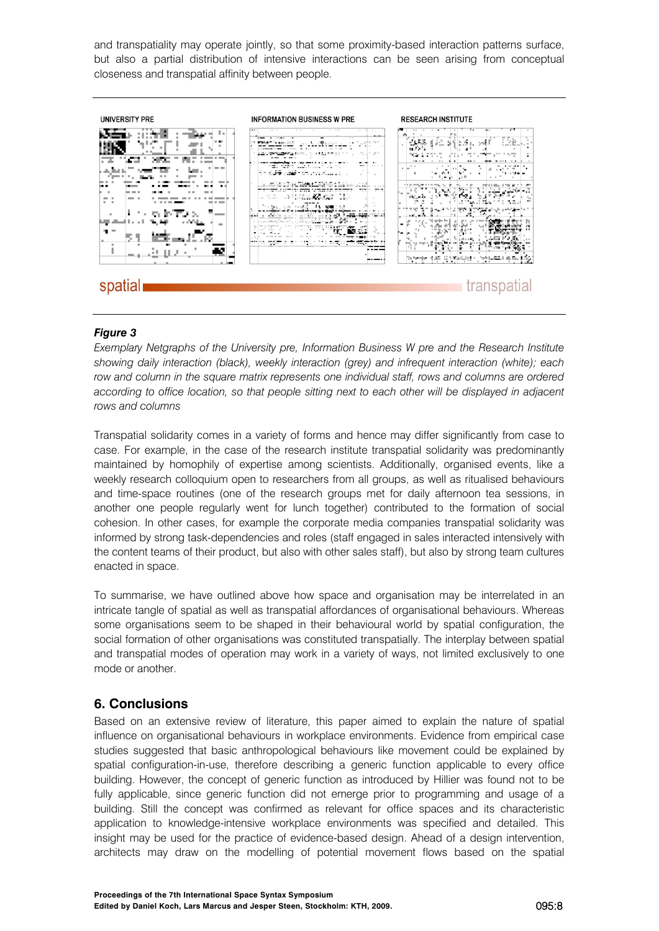and transpatiality may operate jointly, so that some proximity-based interaction patterns surface, but also a partial distribution of intensive interactions can be seen arising from conceptual closeness and transpatial affinity between people.



### *Figure 3*

*Exemplary Netgraphs of the University pre, Information Business W pre and the Research Institute showing daily interaction (black), weekly interaction (grey) and infrequent interaction (white); each row and column in the square matrix represents one individual staff, rows and columns are ordered according to office location, so that people sitting next to each other will be displayed in adjacent rows and columns* 

Transpatial solidarity comes in a variety of forms and hence may differ significantly from case to case. For example, in the case of the research institute transpatial solidarity was predominantly maintained by homophily of expertise among scientists. Additionally, organised events, like a weekly research colloquium open to researchers from all groups, as well as ritualised behaviours and time-space routines (one of the research groups met for daily afternoon tea sessions, in another one people regularly went for lunch together) contributed to the formation of social cohesion. In other cases, for example the corporate media companies transpatial solidarity was informed by strong task-dependencies and roles (staff engaged in sales interacted intensively with the content teams of their product, but also with other sales staff), but also by strong team cultures enacted in space.

To summarise, we have outlined above how space and organisation may be interrelated in an intricate tangle of spatial as well as transpatial affordances of organisational behaviours. Whereas some organisations seem to be shaped in their behavioural world by spatial configuration, the social formation of other organisations was constituted transpatially. The interplay between spatial and transpatial modes of operation may work in a variety of ways, not limited exclusively to one mode or another.

## **6. Conclusions**

Based on an extensive review of literature, this paper aimed to explain the nature of spatial influence on organisational behaviours in workplace environments. Evidence from empirical case studies suggested that basic anthropological behaviours like movement could be explained by spatial configuration-in-use, therefore describing a generic function applicable to every office building. However, the concept of generic function as introduced by Hillier was found not to be fully applicable, since generic function did not emerge prior to programming and usage of a building. Still the concept was confirmed as relevant for office spaces and its characteristic application to knowledge-intensive workplace environments was specified and detailed. This insight may be used for the practice of evidence-based design. Ahead of a design intervention, architects may draw on the modelling of potential movement flows based on the spatial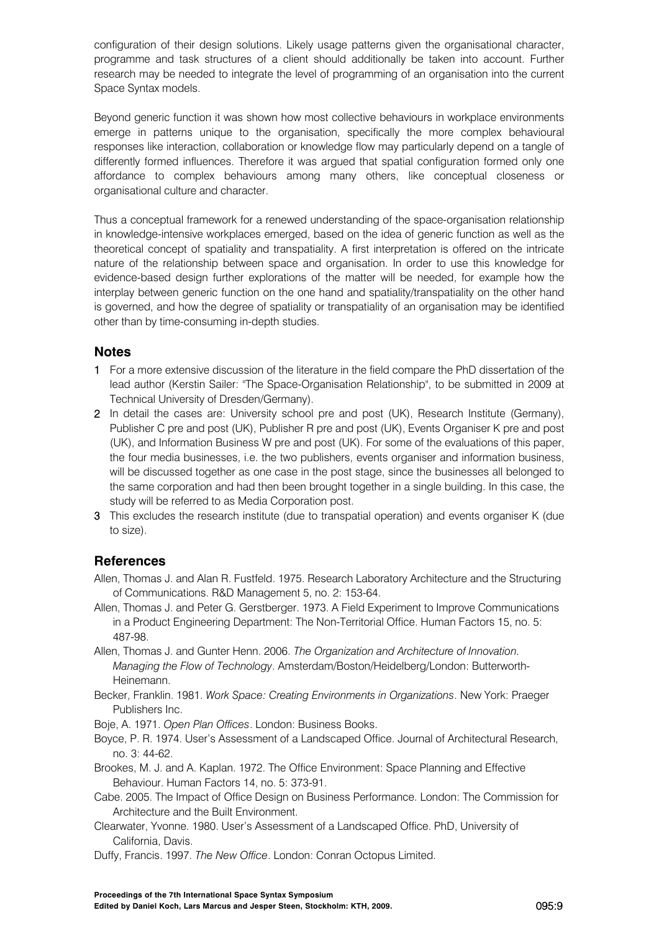configuration of their design solutions. Likely usage patterns given the organisational character, programme and task structures of a client should additionally be taken into account. Further research may be needed to integrate the level of programming of an organisation into the current Space Syntax models.

Beyond generic function it was shown how most collective behaviours in workplace environments emerge in patterns unique to the organisation, specifically the more complex behavioural responses like interaction, collaboration or knowledge flow may particularly depend on a tangle of differently formed influences. Therefore it was argued that spatial configuration formed only one affordance to complex behaviours among many others, like conceptual closeness or organisational culture and character.

Thus a conceptual framework for a renewed understanding of the space-organisation relationship in knowledge-intensive workplaces emerged, based on the idea of generic function as well as the theoretical concept of spatiality and transpatiality. A first interpretation is offered on the intricate nature of the relationship between space and organisation. In order to use this knowledge for evidence-based design further explorations of the matter will be needed, for example how the interplay between generic function on the one hand and spatiality/transpatiality on the other hand is governed, and how the degree of spatiality or transpatiality of an organisation may be identified other than by time-consuming in-depth studies.

## **Notes**

- 1 For a more extensive discussion of the literature in the field compare the PhD dissertation of the lead author (Kerstin Sailer: "The Space-Organisation Relationship", to be submitted in 2009 at Technical University of Dresden/Germany).
- 2 In detail the cases are: University school pre and post (UK), Research Institute (Germany), Publisher C pre and post (UK), Publisher R pre and post (UK), Events Organiser K pre and post (UK), and Information Business W pre and post (UK). For some of the evaluations of this paper, the four media businesses, i.e. the two publishers, events organiser and information business, will be discussed together as one case in the post stage, since the businesses all belonged to the same corporation and had then been brought together in a single building. In this case, the study will be referred to as Media Corporation post.
- 3 This excludes the research institute (due to transpatial operation) and events organiser K (due to size).

## **References**

- Allen, Thomas J. and Alan R. Fustfeld. 1975. Research Laboratory Architecture and the Structuring of Communications. R&D Management 5, no. 2: 153-64.
- Allen, Thomas J. and Peter G. Gerstberger. 1973. A Field Experiment to Improve Communications in a Product Engineering Department: The Non-Territorial Office. Human Factors 15, no. 5: 487-98.
- Allen, Thomas J. and Gunter Henn. 2006. *The Organization and Architecture of Innovation. Managing the Flow of Technology*. Amsterdam/Boston/Heidelberg/London: Butterworth-Heinemann.
- Becker, Franklin. 1981. *Work Space: Creating Environments in Organizations*. New York: Praeger Publishers Inc.
- Boje, A. 1971. *Open Plan Offices*. London: Business Books.
- Boyce, P. R. 1974. User's Assessment of a Landscaped Office. Journal of Architectural Research, no. 3: 44-62.
- Brookes, M. J. and A. Kaplan. 1972. The Office Environment: Space Planning and Effective Behaviour. Human Factors 14, no. 5: 373-91.
- Cabe. 2005. The Impact of Office Design on Business Performance. London: The Commission for Architecture and the Built Environment.
- Clearwater, Yvonne. 1980. User's Assessment of a Landscaped Office. PhD, University of California, Davis.
- Duffy, Francis. 1997. *The New Office*. London: Conran Octopus Limited.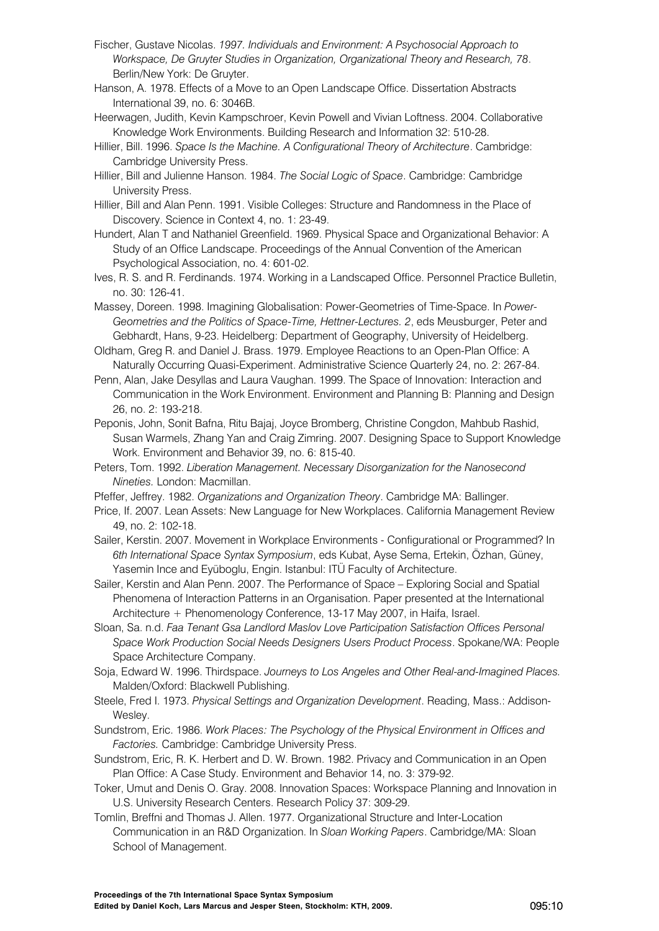- Fischer, Gustave Nicolas. *1997. Individuals and Environment: A Psychosocial Approach to Workspace, De Gruyter Studies in Organization, Organizational Theory and Research, 78*. Berlin/New York: De Gruyter.
- Hanson, A. 1978. Effects of a Move to an Open Landscape Office. Dissertation Abstracts International 39, no. 6: 3046B.
- Heerwagen, Judith, Kevin Kampschroer, Kevin Powell and Vivian Loftness. 2004. Collaborative Knowledge Work Environments. Building Research and Information 32: 510-28.
- Hillier, Bill. 1996. *Space Is the Machine. A Configurational Theory of Architecture*. Cambridge: Cambridge University Press.
- Hillier, Bill and Julienne Hanson. 1984. *The Social Logic of Space*. Cambridge: Cambridge University Press.
- Hillier, Bill and Alan Penn. 1991. Visible Colleges: Structure and Randomness in the Place of Discovery. Science in Context 4, no. 1: 23-49.
- Hundert, Alan T and Nathaniel Greenfield. 1969. Physical Space and Organizational Behavior: A Study of an Office Landscape. Proceedings of the Annual Convention of the American Psychological Association, no. 4: 601-02.
- Ives, R. S. and R. Ferdinands. 1974. Working in a Landscaped Office. Personnel Practice Bulletin, no. 30: 126-41.
- Massey, Doreen. 1998. Imagining Globalisation: Power-Geometries of Time-Space. In *Power-Geometries and the Politics of Space-Time, Hettner-Lectures. 2*, eds Meusburger, Peter and Gebhardt, Hans, 9-23. Heidelberg: Department of Geography, University of Heidelberg.
- Oldham, Greg R. and Daniel J. Brass. 1979. Employee Reactions to an Open-Plan Office: A Naturally Occurring Quasi-Experiment. Administrative Science Quarterly 24, no. 2: 267-84.
- Penn, Alan, Jake Desyllas and Laura Vaughan. 1999. The Space of Innovation: Interaction and Communication in the Work Environment. Environment and Planning B: Planning and Design 26, no. 2: 193-218.
- Peponis, John, Sonit Bafna, Ritu Bajaj, Joyce Bromberg, Christine Congdon, Mahbub Rashid, Susan Warmels, Zhang Yan and Craig Zimring. 2007. Designing Space to Support Knowledge Work. Environment and Behavior 39, no. 6: 815-40.
- Peters, Tom. 1992. *Liberation Management. Necessary Disorganization for the Nanosecond Nineties.* London: Macmillan.
- Pfeffer, Jeffrey. 1982. *Organizations and Organization Theory*. Cambridge MA: Ballinger.
- Price, If. 2007. Lean Assets: New Language for New Workplaces. California Management Review 49, no. 2: 102-18.
- Sailer, Kerstin. 2007. Movement in Workplace Environments Configurational or Programmed? In *6th International Space Syntax Symposium*, eds Kubat, Ayse Sema, Ertekin, Özhan, Güney, Yasemin Ince and Eyüboglu, Engin. Istanbul: ITÜ Faculty of Architecture.
- Sailer, Kerstin and Alan Penn. 2007. The Performance of Space Exploring Social and Spatial Phenomena of Interaction Patterns in an Organisation. Paper presented at the International Architecture + Phenomenology Conference, 13-17 May 2007, in Haifa, Israel.
- Sloan, Sa. n.d. *Faa Tenant Gsa Landlord Maslov Love Participation Satisfaction Offices Personal Space Work Production Social Needs Designers Users Product Process*. Spokane/WA: People Space Architecture Company.
- Soja, Edward W. 1996. Thirdspace. *Journeys to Los Angeles and Other Real-and-Imagined Places.* Malden/Oxford: Blackwell Publishing.
- Steele, Fred I. 1973. *Physical Settings and Organization Development*. Reading, Mass.: Addison-Wesley.
- Sundstrom, Eric. 1986. *Work Places: The Psychology of the Physical Environment in Offices and Factories.* Cambridge: Cambridge University Press.
- Sundstrom, Eric, R. K. Herbert and D. W. Brown. 1982. Privacy and Communication in an Open Plan Office: A Case Study. Environment and Behavior 14, no. 3: 379-92.
- Toker, Umut and Denis O. Gray. 2008. Innovation Spaces: Workspace Planning and Innovation in U.S. University Research Centers. Research Policy 37: 309-29.
- Tomlin, Breffni and Thomas J. Allen. 1977. Organizational Structure and Inter-Location Communication in an R&D Organization. In *Sloan Working Papers*. Cambridge/MA: Sloan School of Management.